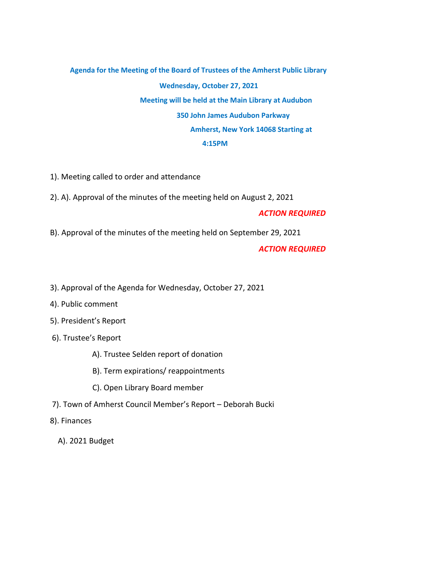## **Agenda for the Meeting of the Board of Trustees of the Amherst Public Library Wednesday, October 27, 2021 Meeting will be held at the Main Library at Audubon 350 John James Audubon Parkway Amherst, New York 14068 Starting at 4:15PM**

- 1). Meeting called to order and attendance
- 2). A). Approval of the minutes of the meeting held on August 2, 2021

## *ACTION REQUIRED*

B). Approval of the minutes of the meeting held on September 29, 2021

## *ACTION REQUIRED*

- 3). Approval of the Agenda for Wednesday, October 27, 2021
- 4). Public comment
- 5). President's Report
- 6). Trustee's Report
	- A). Trustee Selden report of donation
	- B). Term expirations/ reappointments
	- C). Open Library Board member
- 7). Town of Amherst Council Member's Report Deborah Bucki
- 8). Finances
	- A). 2021 Budget